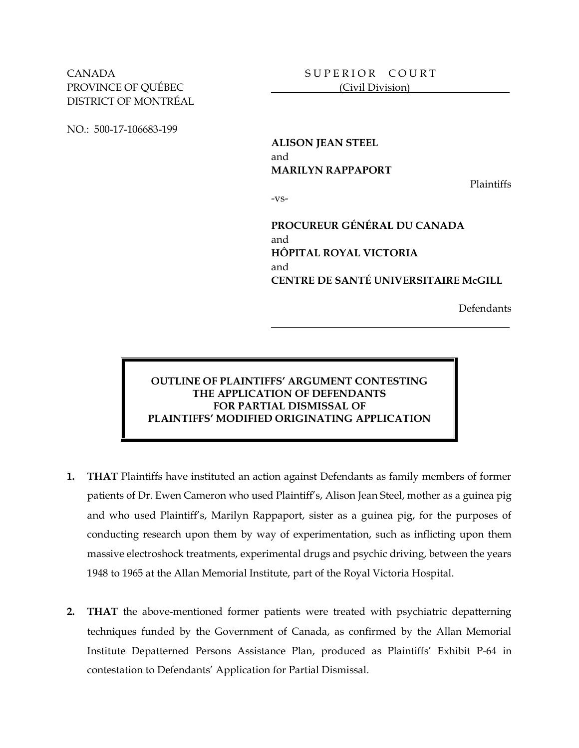CANADA SUPERIOR COURT PROVINCE OF OUÉBEC (Civil Division) DISTRICT OF MONTRÉAL

NO.: 500-17-106683-199

**ALISON JEAN STEEL** and **MARILYN RAPPAPORT**

Plaintiffs

-vs-

**PROCUREUR GÉNÉRAL DU CANADA** and **HÔPITAL ROYAL VICTORIA** and **CENTRE DE SANTÉ UNIVERSITAIRE McGILL**

Defendants

## **OUTLINE OF PLAINTIFFS' ARGUMENT CONTESTING THE APPLICATION OF DEFENDANTS FOR PARTIAL DISMISSAL OF PLAINTIFFS' MODIFIED ORIGINATING APPLICATION**

- **1. THAT** Plaintiffs have instituted an action against Defendants as family members of former patients of Dr. Ewen Cameron who used Plaintiff's, Alison Jean Steel, mother as a guinea pig and who used Plaintiff's, Marilyn Rappaport, sister as a guinea pig, for the purposes of conducting research upon them by way of experimentation, such as inflicting upon them massive electroshock treatments, experimental drugs and psychic driving, between the years 1948 to 1965 at the Allan Memorial Institute, part of the Royal Victoria Hospital.
- **2. THAT** the above-mentioned former patients were treated with psychiatric depatterning techniques funded by the Government of Canada, as confirmed by the Allan Memorial Institute Depatterned Persons Assistance Plan, produced as Plaintiffs' Exhibit P-64 in contestation to Defendants' Application for Partial Dismissal.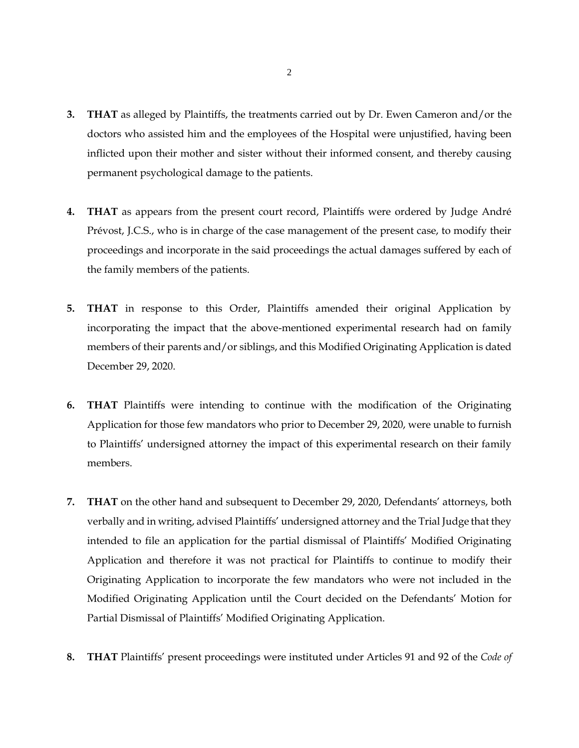- **3. THAT** as alleged by Plaintiffs, the treatments carried out by Dr. Ewen Cameron and/or the doctors who assisted him and the employees of the Hospital were unjustified, having been inflicted upon their mother and sister without their informed consent, and thereby causing permanent psychological damage to the patients.
- **4. THAT** as appears from the present court record, Plaintiffs were ordered by Judge André Prévost, J.C.S., who is in charge of the case management of the present case, to modify their proceedings and incorporate in the said proceedings the actual damages suffered by each of the family members of the patients.
- **5. THAT** in response to this Order, Plaintiffs amended their original Application by incorporating the impact that the above-mentioned experimental research had on family members of their parents and/or siblings, and this Modified Originating Application is dated December 29, 2020.
- **6. THAT** Plaintiffs were intending to continue with the modification of the Originating Application for those few mandators who prior to December 29, 2020, were unable to furnish to Plaintiffs' undersigned attorney the impact of this experimental research on their family members.
- **7. THAT** on the other hand and subsequent to December 29, 2020, Defendants' attorneys, both verbally and in writing, advised Plaintiffs' undersigned attorney and the Trial Judge that they intended to file an application for the partial dismissal of Plaintiffs' Modified Originating Application and therefore it was not practical for Plaintiffs to continue to modify their Originating Application to incorporate the few mandators who were not included in the Modified Originating Application until the Court decided on the Defendants' Motion for Partial Dismissal of Plaintiffs' Modified Originating Application.
- **8. THAT** Plaintiffs' present proceedings were instituted under Articles 91 and 92 of the *Code of*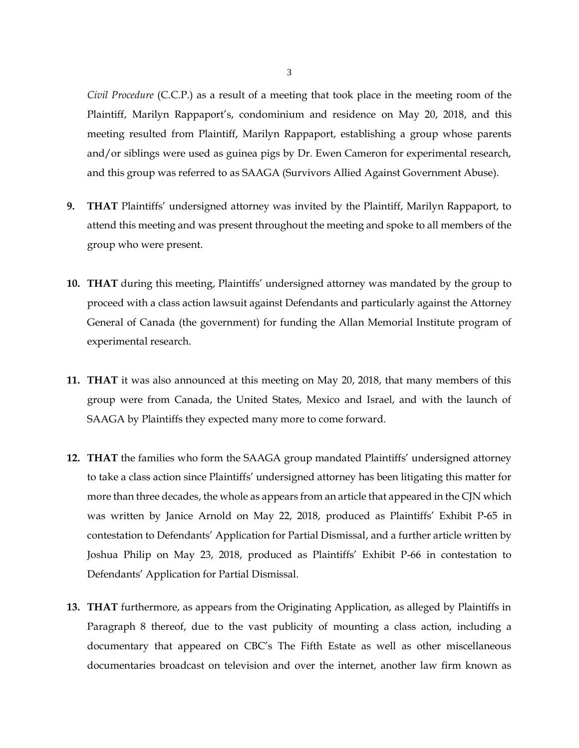*Civil Procedure* (C.C.P.) as a result of a meeting that took place in the meeting room of the Plaintiff, Marilyn Rappaport's, condominium and residence on May 20, 2018, and this meeting resulted from Plaintiff, Marilyn Rappaport, establishing a group whose parents and/or siblings were used as guinea pigs by Dr. Ewen Cameron for experimental research, and this group was referred to as SAAGA (Survivors Allied Against Government Abuse).

- **9. THAT** Plaintiffs' undersigned attorney was invited by the Plaintiff, Marilyn Rappaport, to attend this meeting and was present throughout the meeting and spoke to all members of the group who were present.
- **10. THAT** during this meeting, Plaintiffs' undersigned attorney was mandated by the group to proceed with a class action lawsuit against Defendants and particularly against the Attorney General of Canada (the government) for funding the Allan Memorial Institute program of experimental research.
- **11. THAT** it was also announced at this meeting on May 20, 2018, that many members of this group were from Canada, the United States, Mexico and Israel, and with the launch of SAAGA by Plaintiffs they expected many more to come forward.
- **12. THAT** the families who form the SAAGA group mandated Plaintiffs' undersigned attorney to take a class action since Plaintiffs' undersigned attorney has been litigating this matter for more than three decades, the whole as appears from an article that appeared in the CJN which was written by Janice Arnold on May 22, 2018, produced as Plaintiffs' Exhibit P-65 in contestation to Defendants' Application for Partial Dismissal, and a further article written by Joshua Philip on May 23, 2018, produced as Plaintiffs' Exhibit P-66 in contestation to Defendants' Application for Partial Dismissal.
- **13. THAT** furthermore, as appears from the Originating Application, as alleged by Plaintiffs in Paragraph 8 thereof, due to the vast publicity of mounting a class action, including a documentary that appeared on CBC's The Fifth Estate as well as other miscellaneous documentaries broadcast on television and over the internet, another law firm known as

3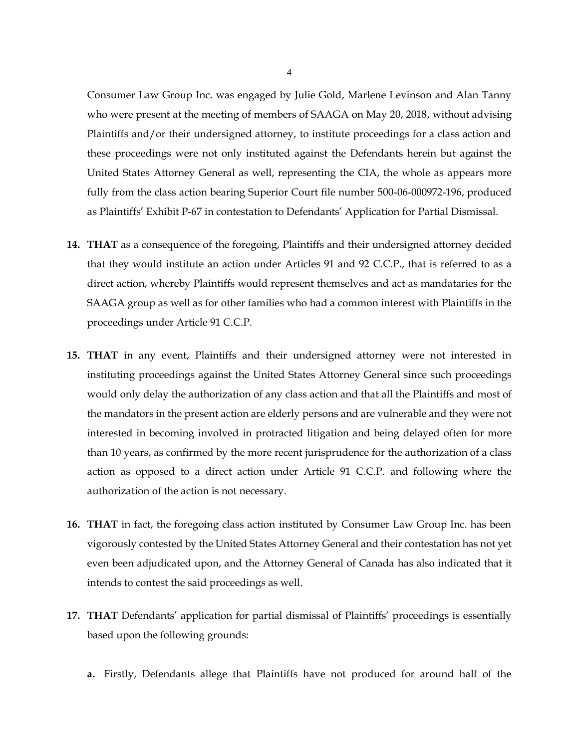Consumer Law Group Inc. was engaged by Julie Gold, Marlene Levinson and Alan Tanny who were present at the meeting of members of SAAGA on May 20, 2018, without advising Plaintiffs and/or their undersigned attorney, to institute proceedings for a class action and these proceedings were not only instituted against the Defendants herein but against the United States Attorney General as well, representing the CIA, the whole as appears more fully from the class action bearing Superior Court file number 500-06-000972-196, produced as Plaintiffs' Exhibit P-67 in contestation to Defendants' Application for Partial Dismissal.

- **14. THAT** as a consequence of the foregoing, Plaintiffs and their undersigned attorney decided that they would institute an action under Articles 91 and 92 C.C.P., that is referred to as a direct action, whereby Plaintiffs would represent themselves and act as mandataries for the SAAGA group as well as for other families who had a common interest with Plaintiffs in the proceedings under Article 91 C.C.P.
- **15. THAT** in any event, Plaintiffs and their undersigned attorney were not interested in instituting proceedings against the United States Attorney General since such proceedings would only delay the authorization of any class action and that all the Plaintiffs and most of the mandators in the present action are elderly persons and are vulnerable and they were not interested in becoming involved in protracted litigation and being delayed often for more than 10 years, as confirmed by the more recent jurisprudence for the authorization of a class action as opposed to a direct action under Article 91 C.C.P. and following where the authorization of the action is not necessary.
- **16. THAT** in fact, the foregoing class action instituted by Consumer Law Group Inc. has been vigorously contested by the United States Attorney General and their contestation has not yet even been adjudicated upon, and the Attorney General of Canada has also indicated that it intends to contest the said proceedings as well.
- **17. THAT** Defendants' application for partial dismissal of Plaintiffs' proceedings is essentially based upon the following grounds:
	- **a.** Firstly, Defendants allege that Plaintiffs have not produced for around half of the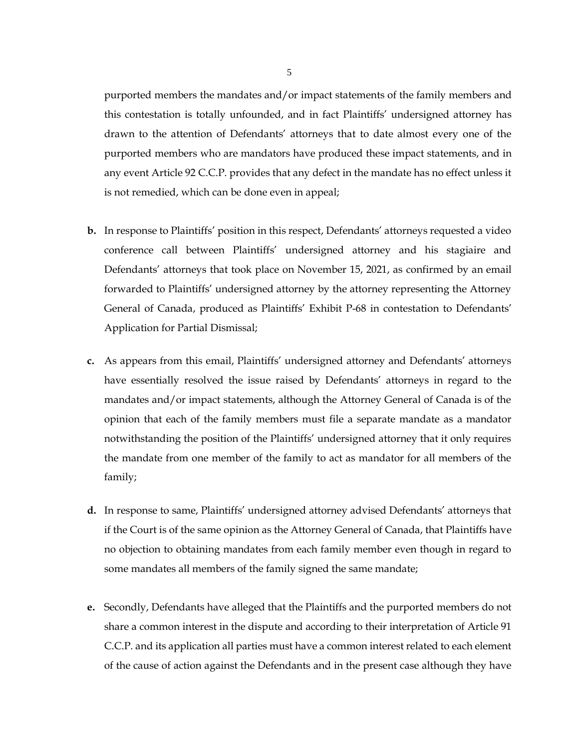purported members the mandates and/or impact statements of the family members and this contestation is totally unfounded, and in fact Plaintiffs' undersigned attorney has drawn to the attention of Defendants' attorneys that to date almost every one of the purported members who are mandators have produced these impact statements, and in any event Article 92 C.C.P. provides that any defect in the mandate has no effect unless it is not remedied, which can be done even in appeal;

- **b.** In response to Plaintiffs' position in this respect, Defendants' attorneys requested a video conference call between Plaintiffs' undersigned attorney and his stagiaire and Defendants' attorneys that took place on November 15, 2021, as confirmed by an email forwarded to Plaintiffs' undersigned attorney by the attorney representing the Attorney General of Canada, produced as Plaintiffs' Exhibit P-68 in contestation to Defendants' Application for Partial Dismissal;
- **c.** As appears from this email, Plaintiffs' undersigned attorney and Defendants' attorneys have essentially resolved the issue raised by Defendants' attorneys in regard to the mandates and/or impact statements, although the Attorney General of Canada is of the opinion that each of the family members must file a separate mandate as a mandator notwithstanding the position of the Plaintiffs' undersigned attorney that it only requires the mandate from one member of the family to act as mandator for all members of the family;
- **d.** In response to same, Plaintiffs' undersigned attorney advised Defendants' attorneys that if the Court is of the same opinion as the Attorney General of Canada, that Plaintiffs have no objection to obtaining mandates from each family member even though in regard to some mandates all members of the family signed the same mandate;
- **e.** Secondly, Defendants have alleged that the Plaintiffs and the purported members do not share a common interest in the dispute and according to their interpretation of Article 91 C.C.P. and its application all parties must have a common interest related to each element of the cause of action against the Defendants and in the present case although they have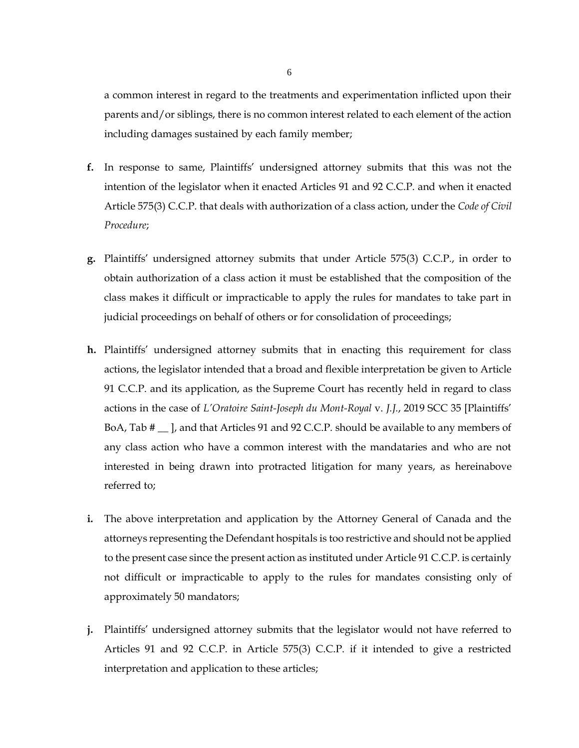a common interest in regard to the treatments and experimentation inflicted upon their parents and/or siblings, there is no common interest related to each element of the action including damages sustained by each family member;

- **f.** In response to same, Plaintiffs' undersigned attorney submits that this was not the intention of the legislator when it enacted Articles 91 and 92 C.C.P. and when it enacted Article 575(3) C.C.P. that deals with authorization of a class action, under the *Code of Civil Procedure*;
- **g.** Plaintiffs' undersigned attorney submits that under Article 575(3) C.C.P., in order to obtain authorization of a class action it must be established that the composition of the class makes it difficult or impracticable to apply the rules for mandates to take part in judicial proceedings on behalf of others or for consolidation of proceedings;
- **h.** Plaintiffs' undersigned attorney submits that in enacting this requirement for class actions, the legislator intended that a broad and flexible interpretation be given to Article 91 C.C.P. and its application, as the Supreme Court has recently held in regard to class actions in the case of *L'Oratoire Saint-Joseph du Mont-Royal* v. *J.J.*, 2019 SCC 35 [Plaintiffs' BoA, Tab  $\#$   $\Box$ , and that Articles 91 and 92 C.C.P. should be available to any members of any class action who have a common interest with the mandataries and who are not interested in being drawn into protracted litigation for many years, as hereinabove referred to;
- **i.** The above interpretation and application by the Attorney General of Canada and the attorneys representing the Defendant hospitals is too restrictive and should not be applied to the present case since the present action as instituted under Article 91 C.C.P. is certainly not difficult or impracticable to apply to the rules for mandates consisting only of approximately 50 mandators;
- **j.** Plaintiffs' undersigned attorney submits that the legislator would not have referred to Articles 91 and 92 C.C.P. in Article 575(3) C.C.P. if it intended to give a restricted interpretation and application to these articles;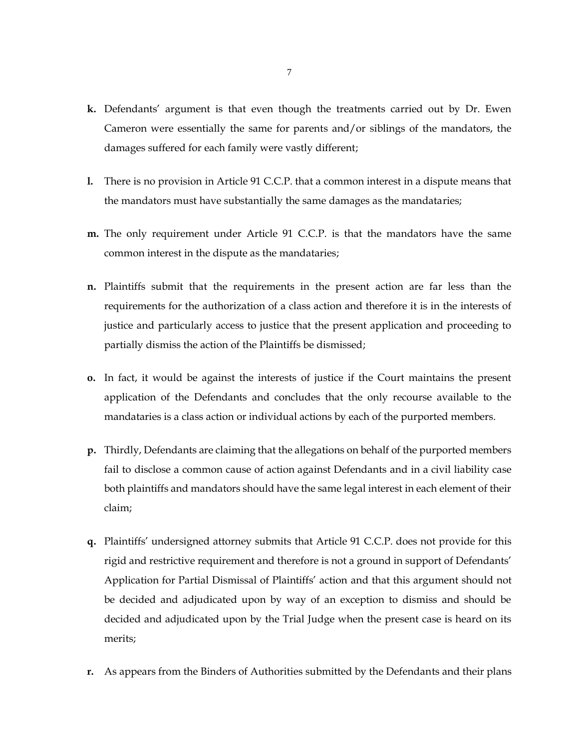- **k.** Defendants' argument is that even though the treatments carried out by Dr. Ewen Cameron were essentially the same for parents and/or siblings of the mandators, the damages suffered for each family were vastly different;
- **l.** There is no provision in Article 91 C.C.P. that a common interest in a dispute means that the mandators must have substantially the same damages as the mandataries;
- **m.** The only requirement under Article 91 C.C.P. is that the mandators have the same common interest in the dispute as the mandataries;
- **n.** Plaintiffs submit that the requirements in the present action are far less than the requirements for the authorization of a class action and therefore it is in the interests of justice and particularly access to justice that the present application and proceeding to partially dismiss the action of the Plaintiffs be dismissed;
- **o.** In fact, it would be against the interests of justice if the Court maintains the present application of the Defendants and concludes that the only recourse available to the mandataries is a class action or individual actions by each of the purported members.
- **p.** Thirdly, Defendants are claiming that the allegations on behalf of the purported members fail to disclose a common cause of action against Defendants and in a civil liability case both plaintiffs and mandators should have the same legal interest in each element of their claim;
- **q.** Plaintiffs' undersigned attorney submits that Article 91 C.C.P. does not provide for this rigid and restrictive requirement and therefore is not a ground in support of Defendants' Application for Partial Dismissal of Plaintiffs' action and that this argument should not be decided and adjudicated upon by way of an exception to dismiss and should be decided and adjudicated upon by the Trial Judge when the present case is heard on its merits;
- **r.** As appears from the Binders of Authorities submitted by the Defendants and their plans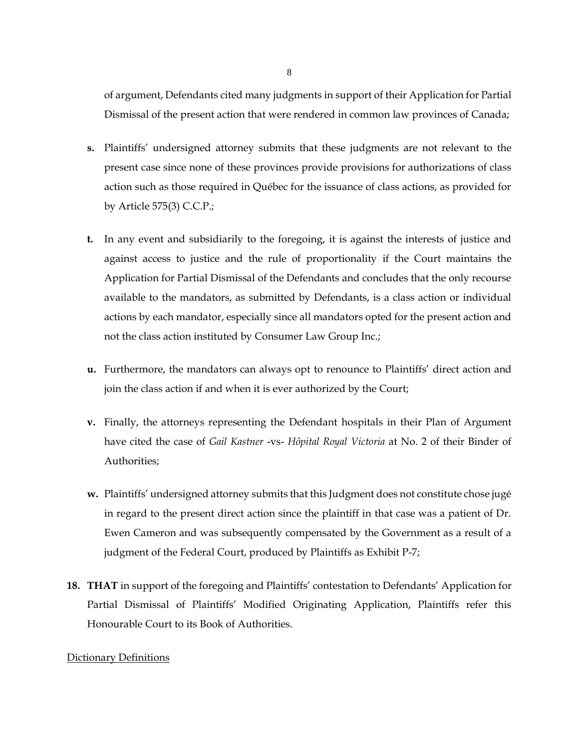of argument, Defendants cited many judgments in support of their Application for Partial Dismissal of the present action that were rendered in common law provinces of Canada;

- **s.** Plaintiffs' undersigned attorney submits that these judgments are not relevant to the present case since none of these provinces provide provisions for authorizations of class action such as those required in Québec for the issuance of class actions, as provided for by Article 575(3) C.C.P.;
- **t.** In any event and subsidiarily to the foregoing, it is against the interests of justice and against access to justice and the rule of proportionality if the Court maintains the Application for Partial Dismissal of the Defendants and concludes that the only recourse available to the mandators, as submitted by Defendants, is a class action or individual actions by each mandator, especially since all mandators opted for the present action and not the class action instituted by Consumer Law Group Inc.;
- **u.** Furthermore, the mandators can always opt to renounce to Plaintiffs' direct action and join the class action if and when it is ever authorized by the Court;
- **v.** Finally, the attorneys representing the Defendant hospitals in their Plan of Argument have cited the case of *Gail Kastner* -vs- *Hôpital Royal Victoria* at No. 2 of their Binder of Authorities;
- **w.** Plaintiffs' undersigned attorney submits that this Judgment does not constitute chose jugé in regard to the present direct action since the plaintiff in that case was a patient of Dr. Ewen Cameron and was subsequently compensated by the Government as a result of a judgment of the Federal Court, produced by Plaintiffs as Exhibit P-7;
- **18. THAT** in support of the foregoing and Plaintiffs' contestation to Defendants' Application for Partial Dismissal of Plaintiffs' Modified Originating Application, Plaintiffs refer this Honourable Court to its Book of Authorities.

## Dictionary Definitions

8